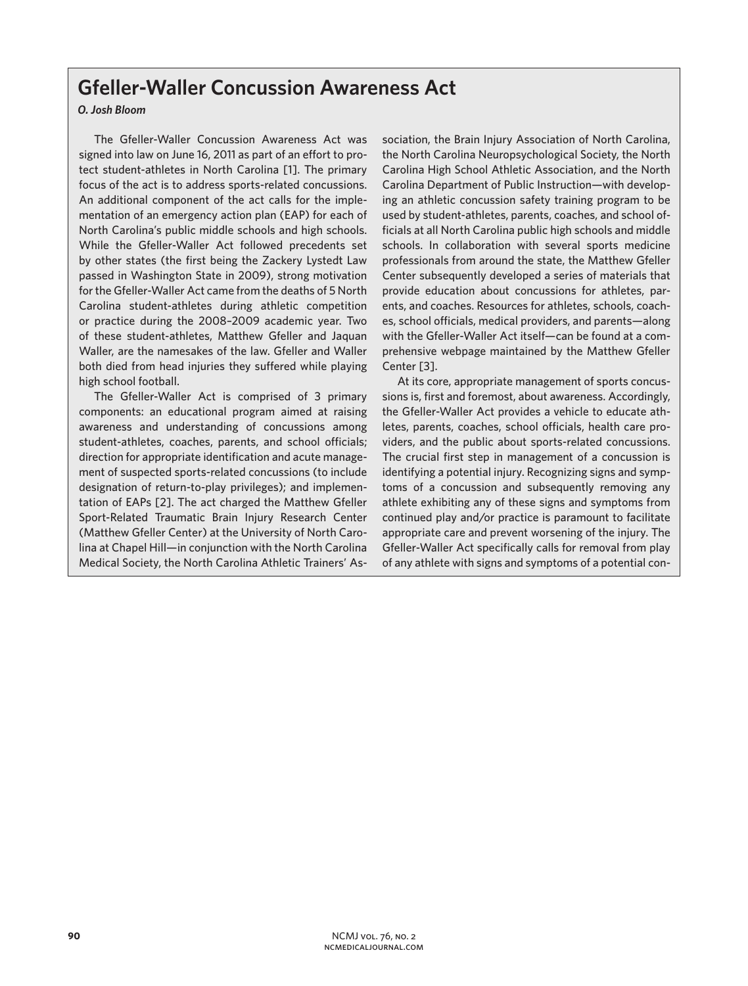## **Gfeller-Waller Concussion Awareness Act**

## *O. Josh Bloom*

The Gfeller-Waller Concussion Awareness Act was signed into law on June 16, 2011 as part of an effort to protect student-athletes in North Carolina [1]. The primary focus of the act is to address sports-related concussions. An additional component of the act calls for the implementation of an emergency action plan (EAP) for each of North Carolina's public middle schools and high schools. While the Gfeller-Waller Act followed precedents set by other states (the first being the Zackery Lystedt Law passed in Washington State in 2009), strong motivation for the Gfeller-Waller Act came from the deaths of 5 North Carolina student-athletes during athletic competition or practice during the 2008–2009 academic year. Two of these student-athletes, Matthew Gfeller and Jaquan Waller, are the namesakes of the law. Gfeller and Waller both died from head injuries they suffered while playing high school football.

The Gfeller-Waller Act is comprised of 3 primary components: an educational program aimed at raising awareness and understanding of concussions among student-athletes, coaches, parents, and school officials; direction for appropriate identification and acute management of suspected sports-related concussions (to include designation of return-to-play privileges); and implementation of EAPs [2]. The act charged the Matthew Gfeller Sport-Related Traumatic Brain Injury Research Center (Matthew Gfeller Center) at the University of North Carolina at Chapel Hill—in conjunction with the North Carolina Medical Society, the North Carolina Athletic Trainers' Association, the Brain Injury Association of North Carolina, the North Carolina Neuropsychological Society, the North Carolina High School Athletic Association, and the North Carolina Department of Public Instruction—with developing an athletic concussion safety training program to be used by student-athletes, parents, coaches, and school officials at all North Carolina public high schools and middle schools. In collaboration with several sports medicine professionals from around the state, the Matthew Gfeller Center subsequently developed a series of materials that provide education about concussions for athletes, parents, and coaches. Resources for athletes, schools, coaches, school officials, medical providers, and parents—along with the Gfeller-Waller Act itself—can be found at a comprehensive webpage maintained by the Matthew Gfeller Center [3].

At its core, appropriate management of sports concussions is, first and foremost, about awareness. Accordingly, the Gfeller-Waller Act provides a vehicle to educate athletes, parents, coaches, school officials, health care providers, and the public about sports-related concussions. The crucial first step in management of a concussion is identifying a potential injury. Recognizing signs and symptoms of a concussion and subsequently removing any athlete exhibiting any of these signs and symptoms from continued play and/or practice is paramount to facilitate appropriate care and prevent worsening of the injury. The Gfeller-Waller Act specifically calls for removal from play of any athlete with signs and symptoms of a potential con